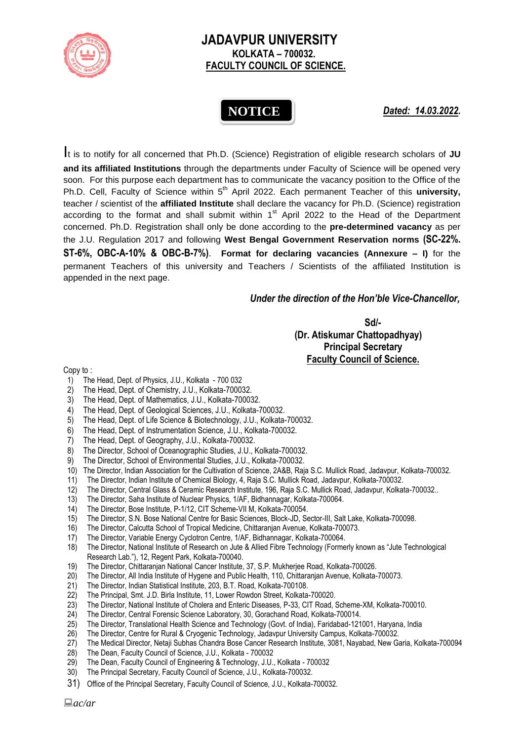

## **JADAVPUR UNIVERSITY KOLKATA – 700032. FACULTY COUNCIL OF SCIENCE.**

## **NOTICE**

*Dated: 14.03.2022.*

It is to notify for all concerned that Ph.D. (Science) Registration of eligible research scholars of **JU and its affiliated Institutions** through the departments under Faculty of Science will be opened very soon. For this purpose each department has to communicate the vacancy position to the Office of the Ph.D. Cell, Faculty of Science within 5<sup>th</sup> April 2022. Each permanent Teacher of this university, teacher / scientist of the **affiliated Institute** shall declare the vacancy for Ph.D. (Science) registration according to the format and shall submit within  $1<sup>st</sup>$  April 2022 to the Head of the Department concerned. Ph.D. Registration shall only be done according to the **pre-determined vacancy** as per the J.U. Regulation 2017 and following **West Bengal Government Reservation norms (SC-22%. ST-6%, OBC-A-10% & OBC-B-7%)**. **Format for declaring vacancies (Annexure – I)** for the permanent Teachers of this university and Teachers / Scientists of the affiliated Institution is appended in the next page.

## *Under the direction of the Hon'ble Vice-Chancellor,*

**Sd/-**

 **(Dr. Atiskumar Chattopadhyay) Principal Secretary Faculty Council of Science.**

Copy to :

- 1) The Head, Dept. of Physics, J.U., Kolkata 700 032
- 2) The Head, Dept. of Chemistry, J.U., Kolkata-700032.
- 3) The Head, Dept. of Mathematics, J.U., Kolkata-700032.
- 4) The Head, Dept. of Geological Sciences, J.U., Kolkata-700032.
- 5) The Head, Dept. of Life Science & Biotechnology, J.U., Kolkata-700032.
- 6) The Head, Dept. of Instrumentation Science, J.U., Kolkata-700032.
- 
- 7) The Head, Dept. of Geography, J.U., Kolkata-700032.<br>8) The Director. School of Oceanographic Studies, J.U., I The Director, School of Oceanographic Studies, J.U., Kolkata-700032.
- 9) The Director, School of Environmental Studies, J.U., Kolkata-700032.
- 10) The Director, Indian Association for the Cultivation of Science, 2A&B, Raja S.C. Mullick Road, Jadavpur, Kolkata-700032.
- 11) The Director, Indian Institute of Chemical Biology, 4, Raja S.C. Mullick Road, Jadavpur, Kolkata-700032.
- 12) The Director, Central Glass & Ceramic Research Institute, 196, Raja S.C. Mullick Road, Jadavpur, Kolkata-700032..
- 13) The Director, Saha Institute of Nuclear Physics, 1/AF, Bidhannagar, Kolkata-700064.
- 14) The Director, Bose Institute, P-1/12, CIT Scheme-VII M, Kolkata-700054.
- 15) The Director, S.N. Bose National Centre for Basic Sciences, Block-JD, Sector-III, Salt Lake, Kolkata-700098.
- 16) The Director, Calcutta School of Tropical Medicine, Chittaranjan Avenue, Kolkata-700073.
- 17) The Director, Variable Energy Cyclotron Centre, 1/AF, Bidhannagar, Kolkata-700064.
- 18) The Director, National Institute of Research on Jute & Allied Fibre Technology (Formerly known as "Jute Technological Research Lab."), 12, Regent Park, Kolkata-700040.
- 19) The Director, Chittaranjan National Cancer Institute, 37, S.P. Mukherjee Road, Kolkata-700026.
- 20) The Director, All India Institute of Hygene and Public Health, 110, Chittaranian Avenue, Kolkata-700073.
- 21) The Director, Indian Statistical Institute, 203, B.T. Road, Kolkata-700108.
- 22) The Principal, Smt. J.D. Birla Institute, 11, Lower Rowdon Street, Kolkata-700020.
- 23) The Director, National Institute of Cholera and Enteric Diseases, P-33, CIT Road, Scheme-XM, Kolkata-700010.
- 
- 24) The Director, Central Forensic Science Laboratory, 30, Gorachand Road, Kolkata-700014.<br>25) The Director. Translational Health Science and Technology (Govt. of India), Faridabad-121 25) The Director, Translational Health Science and Technology (Govt. of India), Faridabad-121001, Haryana, India
- 26) The Director, Centre for Rural & Cryogenic Technology, Jadavpur University Campus, Kolkata-700032.
- 27) The Medical Director, Netaji Subhas Chandra Bose Cancer Research Institute, 3081, Nayabad, New Garia, Kolkata-700094
- 28) The Dean, Faculty Council of Science, J.U., Kolkata 700032
- 29) The Dean, Faculty Council of Engineering & Technology, J.U., Kolkata 700032
- 30) The Principal Secretary, Faculty Council of Science, J.U., Kolkata-700032.
- 31) Office of the Principal Secretary, Faculty Council of Science, J.U., Kolkata-700032.